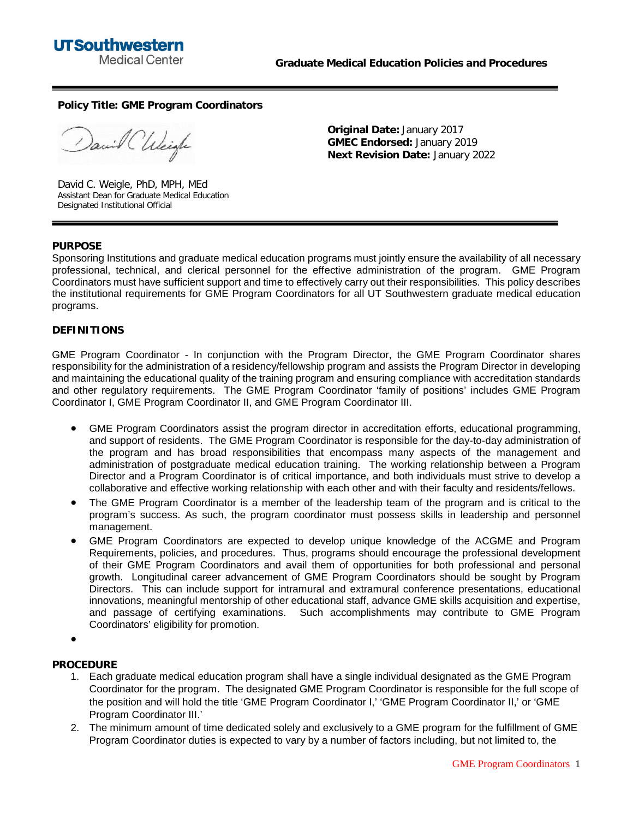**Policy Title: GME Program Coordinators**

anil Chleigh

David C. Weigle, PhD, MPH, MEd Assistant Dean for Graduate Medical Education Designated Institutional Official

**Original Date:** January 2017 **GMEC Endorsed:** January 2019 **Next Revision Date:** January 2022

## **PURPOSE**

Sponsoring Institutions and graduate medical education programs must jointly ensure the availability of all necessary professional, technical, and clerical personnel for the effective administration of the program. GME Program Coordinators must have sufficient support and time to effectively carry out their responsibilities. This policy describes the institutional requirements for GME Program Coordinators for all UT Southwestern graduate medical education programs.

## **DEFINITIONS**

GME Program Coordinator - In conjunction with the Program Director, the GME Program Coordinator shares responsibility for the administration of a residency/fellowship program and assists the Program Director in developing and maintaining the educational quality of the training program and ensuring compliance with accreditation standards and other regulatory requirements. The GME Program Coordinator 'family of positions' includes GME Program Coordinator I, GME Program Coordinator II, and GME Program Coordinator III.

- · GME Program Coordinators assist the program director in accreditation efforts, educational programming, and support of residents. The GME Program Coordinator is responsible for the day-to-day administration of the program and has broad responsibilities that encompass many aspects of the management and administration of postgraduate medical education training. The working relationship between a Program Director and a Program Coordinator is of critical importance, and both individuals must strive to develop a collaborative and effective working relationship with each other and with their faculty and residents/fellows.
- The GME Program Coordinator is a member of the leadership team of the program and is critical to the program's success. As such, the program coordinator must possess skills in leadership and personnel management.
- · GME Program Coordinators are expected to develop unique knowledge of the ACGME and Program Requirements, policies, and procedures. Thus, programs should encourage the professional development of their GME Program Coordinators and avail them of opportunities for both professional and personal growth. Longitudinal career advancement of GME Program Coordinators should be sought by Program Directors. This can include support for intramural and extramural conference presentations, educational innovations, meaningful mentorship of other educational staff, advance GME skills acquisition and expertise, and passage of certifying examinations. Such accomplishments may contribute to GME Program Coordinators' eligibility for promotion.

·

## **PROCEDURE**

- 1. Each graduate medical education program shall have a single individual designated as the GME Program Coordinator for the program. The designated GME Program Coordinator is responsible for the full scope of the position and will hold the title 'GME Program Coordinator I,' 'GME Program Coordinator II,' or 'GME Program Coordinator III.'
- 2. The minimum amount of time dedicated solely and exclusively to a GME program for the fulfillment of GME Program Coordinator duties is expected to vary by a number of factors including, but not limited to, the